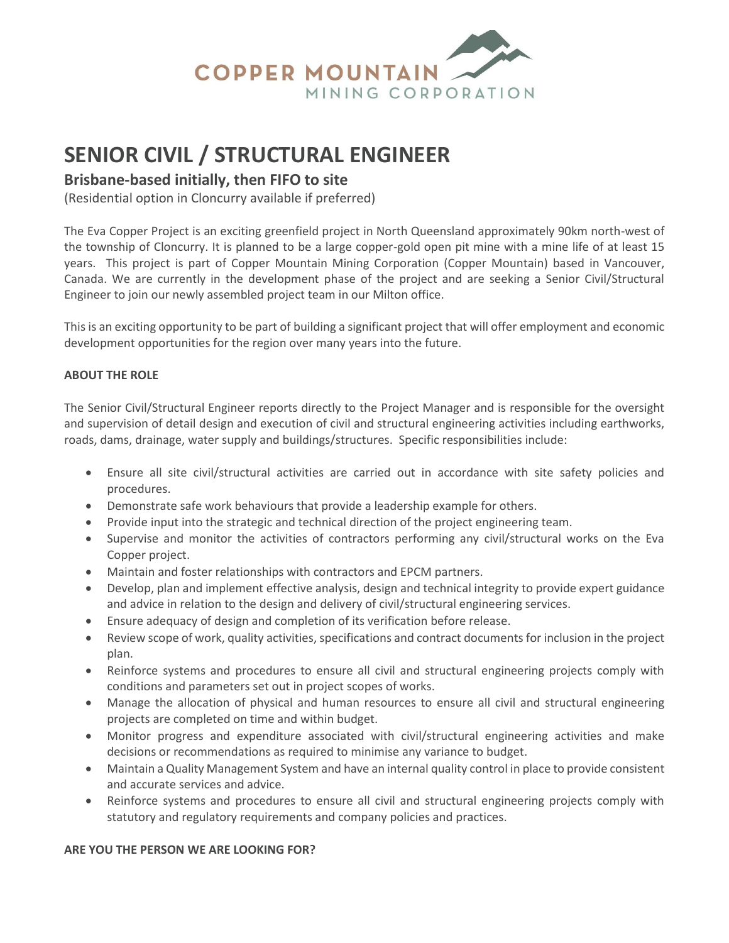

# **SENIOR CIVIL / STRUCTURAL ENGINEER**

## **Brisbane-based initially, then FIFO to site**

(Residential option in Cloncurry available if preferred)

The Eva Copper Project is an exciting greenfield project in North Queensland approximately 90km north-west of the township of Cloncurry. It is planned to be a large copper-gold open pit mine with a mine life of at least 15 years. This project is part of Copper Mountain Mining Corporation (Copper Mountain) based in Vancouver, Canada. We are currently in the development phase of the project and are seeking a Senior Civil/Structural Engineer to join our newly assembled project team in our Milton office.

This is an exciting opportunity to be part of building a significant project that will offer employment and economic development opportunities for the region over many years into the future.

### **ABOUT THE ROLE**

The Senior Civil/Structural Engineer reports directly to the Project Manager and is responsible for the oversight and supervision of detail design and execution of civil and structural engineering activities including earthworks, roads, dams, drainage, water supply and buildings/structures. Specific responsibilities include:

- Ensure all site civil/structural activities are carried out in accordance with site safety policies and procedures.
- Demonstrate safe work behaviours that provide a leadership example for others.
- Provide input into the strategic and technical direction of the project engineering team.
- Supervise and monitor the activities of contractors performing any civil/structural works on the Eva Copper project.
- Maintain and foster relationships with contractors and EPCM partners.
- Develop, plan and implement effective analysis, design and technical integrity to provide expert guidance and advice in relation to the design and delivery of civil/structural engineering services.
- Ensure adequacy of design and completion of its verification before release.
- Review scope of work, quality activities, specifications and contract documents for inclusion in the project plan.
- Reinforce systems and procedures to ensure all civil and structural engineering projects comply with conditions and parameters set out in project scopes of works.
- Manage the allocation of physical and human resources to ensure all civil and structural engineering projects are completed on time and within budget.
- Monitor progress and expenditure associated with civil/structural engineering activities and make decisions or recommendations as required to minimise any variance to budget.
- Maintain a Quality Management System and have an internal quality control in place to provide consistent and accurate services and advice.
- Reinforce systems and procedures to ensure all civil and structural engineering projects comply with statutory and regulatory requirements and company policies and practices.

#### **ARE YOU THE PERSON WE ARE LOOKING FOR?**